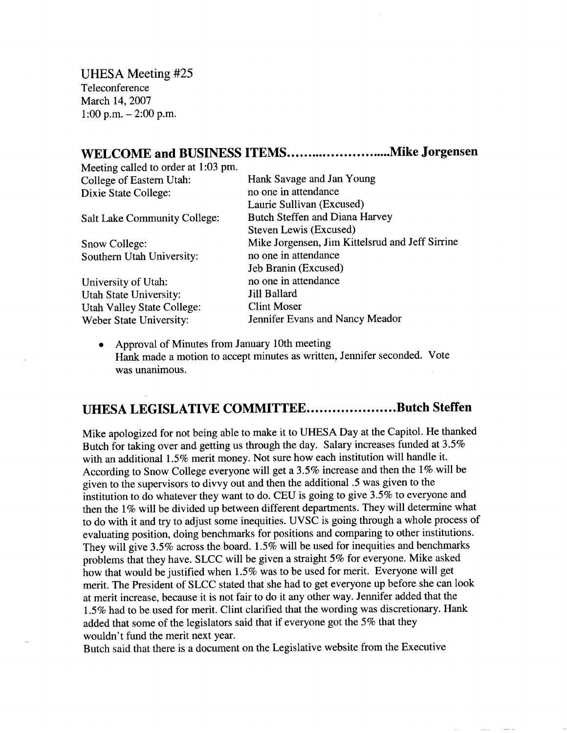UHESA Meeting #25 Teleconference March 14, 2007 1:00 p.m.  $-2:00$  p.m.

## **WELCOME and BUSINESS ITEMS...............................Mike Jorgensen**

Meeting called to order at 1:03 pm. College of Eastern Utah: Hank Savage and Jan Young

Southern Utah University: no one in attendance

University of Utah: no one in attendance Utah State University: Jill Ballard Utah Valley State College: Clint Moser

Dixie State College: no one in attendance Laurie Sullivan (Excused) Salt Lake Community College: Butch Steffen and Diana Harvey Steven Lewis (Excused) Snow College: Mike Jorgensen, Jim Kittelsrud and Jeff Sirrine Jeb Branin (Excused) Weber State University: Jennifer Evans and Nancy Meador

• Approval of Minutes from January 10th meeting Hank made a motion to accept minutes as written, Jennifer seconded. Vote was unanimous.

## **UHESA LEGISLATIVE COMMITTEE....................Butch Steffen**

Mike apologized for not being able to make it to UHESA Day at the Capitol. He thanked Butch for taking over and getting us through the day. Salary increases funded at 3.5% with an additional 1.5% merit money. Not sure how each institution will handle it. According to Snow College everyone will get a 3.5% increase and then the 1% will be given to the supervisors to divvy out and then the additional .5 was given to the institution to do whatever they want to do. CEU is going to give 3.5% to everyone and then the 1% will be divided up between different departments. They will determine what to do with it and try to adjust some inequities. UVSC is going through a whole process of evaluating position, doing benchmarks for positions and comparing to other institutions. They will give 3.5% across the board. 1.5% will be used for inequities and benchmarks problems that they have. SLCC will be given a straight 5% for everyone. Mike asked how that would be justified when 1.5% was to be used for merit. Everyone will get merit. The President of SLCC stated that she had to get everyone up before she can look at merit increase, because it is not fair to do it any other way. Jennifer added that the 1.5% had to be used for merit. Clint clarified that the wording was discretionary. Hank added that some of the legislators said that if everyone got the 5% that they wouldn't fund the merit next year.

Butch said that there is a document on the Legislative website from the Executive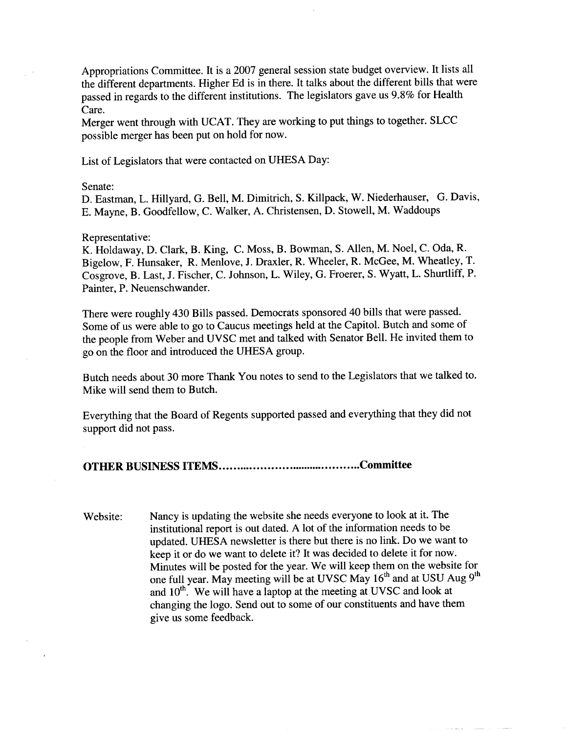Appropriations Committee. It is a 2007 general session state budget overview. It lists all the different departments. Higher Ed is in there. It talks about the different bills that were passed in regards to the different institutions. The legislators gave us 9.8% for Health Care.

Merger went through with UCAT. They are working to put things to together. SLCC possible merger has been put on hold for now.

List of Legislators that were contacted on UHESA Day:

Senate:

D. Eastman, L. Hillyard, G. Bell, M. Dimitrich, S. Killpack, W. Niederhauser, G. Davis, E. Mayne, B. Goodfellow, C. Walker, A. Christensen, D. Stowell, M. Waddoups

## Representative:

K. Holdaway, D. Clark, B. King, C. Moss, B. Bowman, S. Allen, M. Noel, C. Oda, R. Bigelow, F. Hunsaker, R. Menlove, J. Draxler, R. Wheeler, R. McGee, M. Wheatley, T. Cosgrove, B. Last, J. Fischer, C. Johnson, L. Wiley, G. Froerer, S. Wyatt, L. Shurtliff, P. Painter, P. Neuenschwander.

There were roughly 430 Bills passed. Democrats sponsored 40 bills that were passed. Some of us were able to go to Caucus meetings held at the Capitol. Butch and some of the people from Weber and UVSC met and talked with Senator Bell. He invited them to go on the floor and introduced the UHESA group.

Butch needs about 30 more Thank You notes to send to the Legislators that we talked to. Mike will send them to Butch.

Everything that the Board of Regents supported passed and everything that they did not support did not pass.

**OTHER BUSINESS ITEMS Committee**

Website: Nancy is updating the website she needs everyone to look at it. The institutional report is out dated. A lot of the information needs to be updated. UHESA newsletter is there but there is no link. Do we want to keep it or do we want to delete it? It was decided to delete it for now. Minutes will be posted for the year. We will keep them on the website for one full year. May meeting will be at UVSC May 16<sup>th</sup> and at USU Aug 9<sup>th</sup> and 10<sup>th</sup>. We will have a laptop at the meeting at UVSC and look at changing the logo. Send out to some of our constituents and have them give us some feedback.